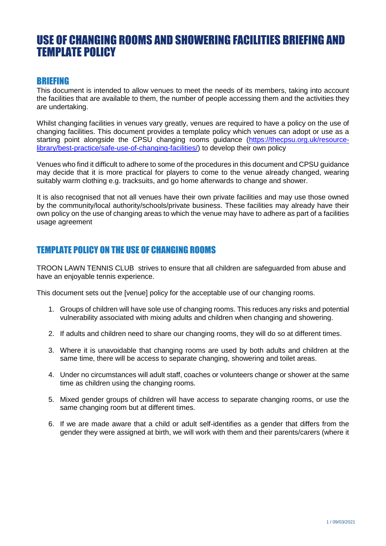## USE OF CHANGING ROOMS AND SHOWERING FACILITIES BRIEFING AND TEMPLATE POLICY

## BRIEFING

This document is intended to allow venues to meet the needs of its members, taking into account the facilities that are available to them, the number of people accessing them and the activities they are undertaking.

Whilst changing facilities in venues vary greatly, venues are required to have a policy on the use of changing facilities. This document provides a template policy which venues can adopt or use as a starting point alongside the CPSU changing rooms quidance [\(https://thecpsu.org.uk/resource](https://thecpsu.org.uk/resource-library/best-practice/safe-use-of-changing-facilities/)[library/best-practice/safe-use-of-changing-facilities/\)](https://thecpsu.org.uk/resource-library/best-practice/safe-use-of-changing-facilities/) to develop their own policy

Venues who find it difficult to adhere to some of the procedures in this document and CPSU guidance may decide that it is more practical for players to come to the venue already changed, wearing suitably warm clothing e.g. tracksuits, and go home afterwards to change and shower.

It is also recognised that not all venues have their own private facilities and may use those owned by the community/local authority/schools/private business. These facilities may already have their own policy on the use of changing areas to which the venue may have to adhere as part of a facilities usage agreement

## TEMPLATE POLICY ON THE USE OF CHANGING ROOMS

TROON LAWN TENNIS CLUB strives to ensure that all children are safeguarded from abuse and have an enjoyable tennis experience.

This document sets out the [venue] policy for the acceptable use of our changing rooms.

- 1. Groups of children will have sole use of changing rooms. This reduces any risks and potential vulnerability associated with mixing adults and children when changing and showering.
- 2. If adults and children need to share our changing rooms, they will do so at different times.
- 3. Where it is unavoidable that changing rooms are used by both adults and children at the same time, there will be access to separate changing, showering and toilet areas.
- 4. Under no circumstances will adult staff, coaches or volunteers change or shower at the same time as children using the changing rooms.
- 5. Mixed gender groups of children will have access to separate changing rooms, or use the same changing room but at different times.
- 6. If we are made aware that a child or adult self-identifies as a gender that differs from the gender they were assigned at birth, we will work with them and their parents/carers (where it